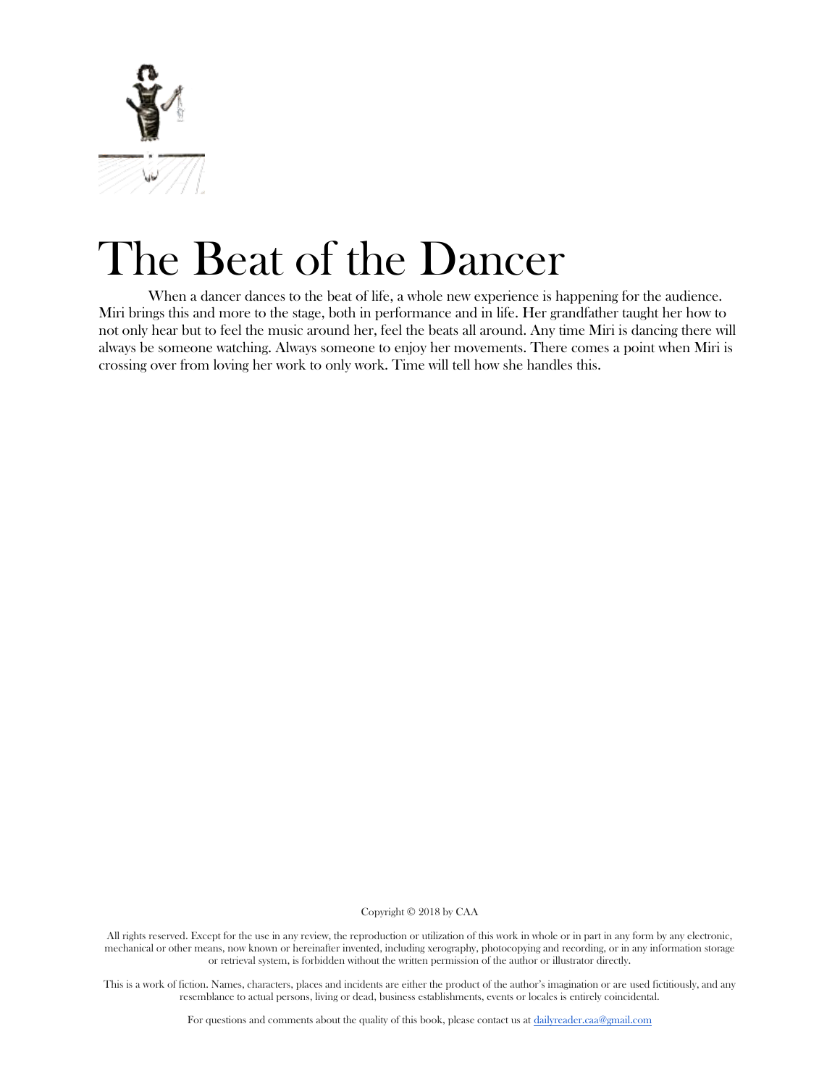

# The Beat of the Dancer

When a dancer dances to the beat of life, a whole new experience is happening for the audience. Miri brings this and more to the stage, both in performance and in life. Her grandfather taught her how to not only hear but to feel the music around her, feel the beats all around. Any time Miri is dancing there will always be someone watching. Always someone to enjoy her movements. There comes a point when Miri is crossing over from loving her work to only work. Time will tell how she handles this.

Copyright © 2018 by CAA

All rights reserved. Except for the use in any review, the reproduction or utilization of this work in whole or in part in any form by any electronic, mechanical or other means, now known or hereinafter invented, including xerography, photocopying and recording, or in any information storage or retrieval system, is forbidden without the written permission of the author or illustrator directly.

This is a work of fiction. Names, characters, places and incidents are either the product of the author's imagination or are used fictitiously, and any resemblance to actual persons, living or dead, business establishments, events or locales is entirely coincidental.

For questions and comments about the quality of this book, please contact us at [dailyreader.caa@gmail.com](mailto:dailyreader.caa@gmail.com)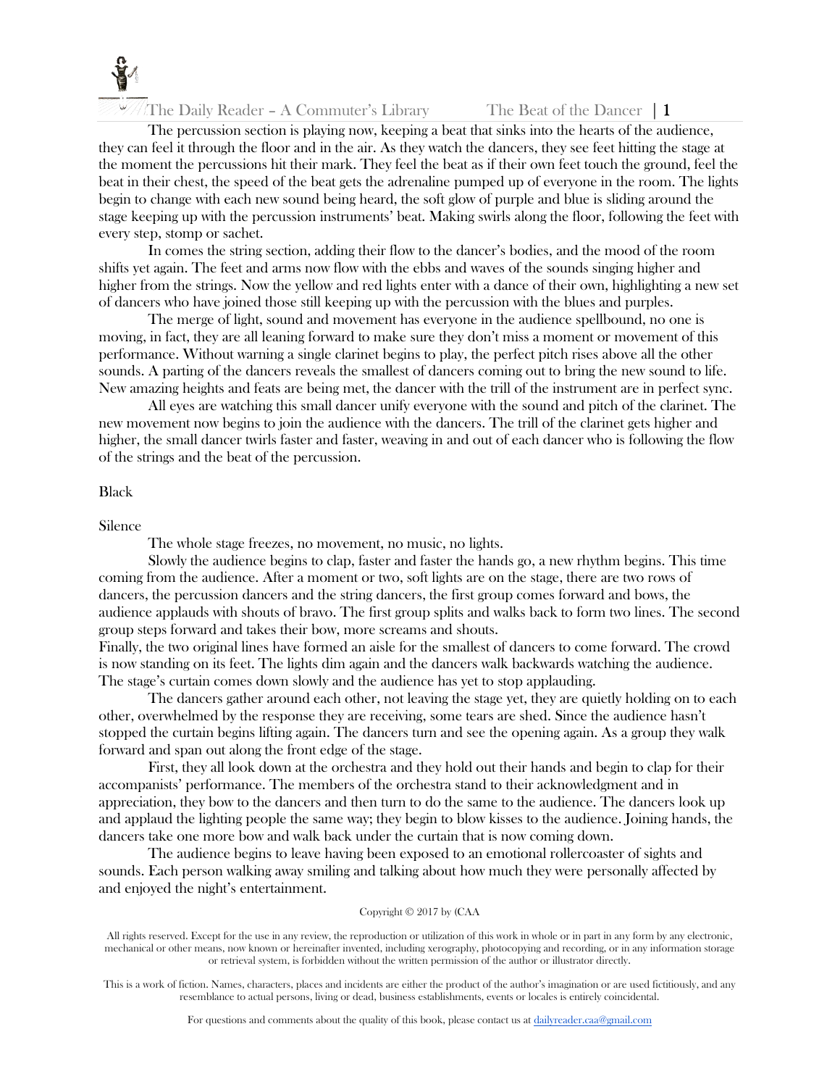

The Daily Reader – A Commuter's Library The Beat of the Dancer  $|1$ 

The percussion section is playing now, keeping a beat that sinks into the hearts of the audience, they can feel it through the floor and in the air. As they watch the dancers, they see feet hitting the stage at the moment the percussions hit their mark. They feel the beat as if their own feet touch the ground, feel the beat in their chest, the speed of the beat gets the adrenaline pumped up of everyone in the room. The lights begin to change with each new sound being heard, the soft glow of purple and blue is sliding around the stage keeping up with the percussion instruments' beat. Making swirls along the floor, following the feet with every step, stomp or sachet.

In comes the string section, adding their flow to the dancer's bodies, and the mood of the room shifts yet again. The feet and arms now flow with the ebbs and waves of the sounds singing higher and higher from the strings. Now the yellow and red lights enter with a dance of their own, highlighting a new set of dancers who have joined those still keeping up with the percussion with the blues and purples.

The merge of light, sound and movement has everyone in the audience spellbound, no one is moving, in fact, they are all leaning forward to make sure they don't miss a moment or movement of this performance. Without warning a single clarinet begins to play, the perfect pitch rises above all the other sounds. A parting of the dancers reveals the smallest of dancers coming out to bring the new sound to life. New amazing heights and feats are being met, the dancer with the trill of the instrument are in perfect sync.

All eyes are watching this small dancer unify everyone with the sound and pitch of the clarinet. The new movement now begins to join the audience with the dancers. The trill of the clarinet gets higher and higher, the small dancer twirls faster and faster, weaving in and out of each dancer who is following the flow of the strings and the beat of the percussion.

### Black

Silence

The whole stage freezes, no movement, no music, no lights.

Slowly the audience begins to clap, faster and faster the hands go, a new rhythm begins. This time coming from the audience. After a moment or two, soft lights are on the stage, there are two rows of dancers, the percussion dancers and the string dancers, the first group comes forward and bows, the audience applauds with shouts of bravo. The first group splits and walks back to form two lines. The second group steps forward and takes their bow, more screams and shouts.

Finally, the two original lines have formed an aisle for the smallest of dancers to come forward. The crowd is now standing on its feet. The lights dim again and the dancers walk backwards watching the audience. The stage's curtain comes down slowly and the audience has yet to stop applauding.

The dancers gather around each other, not leaving the stage yet, they are quietly holding on to each other, overwhelmed by the response they are receiving, some tears are shed. Since the audience hasn't stopped the curtain begins lifting again. The dancers turn and see the opening again. As a group they walk forward and span out along the front edge of the stage.

First, they all look down at the orchestra and they hold out their hands and begin to clap for their accompanists' performance. The members of the orchestra stand to their acknowledgment and in appreciation, they bow to the dancers and then turn to do the same to the audience. The dancers look up and applaud the lighting people the same way; they begin to blow kisses to the audience. Joining hands, the dancers take one more bow and walk back under the curtain that is now coming down.

The audience begins to leave having been exposed to an emotional rollercoaster of sights and sounds. Each person walking away smiling and talking about how much they were personally affected by and enjoyed the night's entertainment.

#### Copyright © 2017 by (CAA

All rights reserved. Except for the use in any review, the reproduction or utilization of this work in whole or in part in any form by any electronic, mechanical or other means, now known or hereinafter invented, including xerography, photocopying and recording, or in any information storage or retrieval system, is forbidden without the written permission of the author or illustrator directly.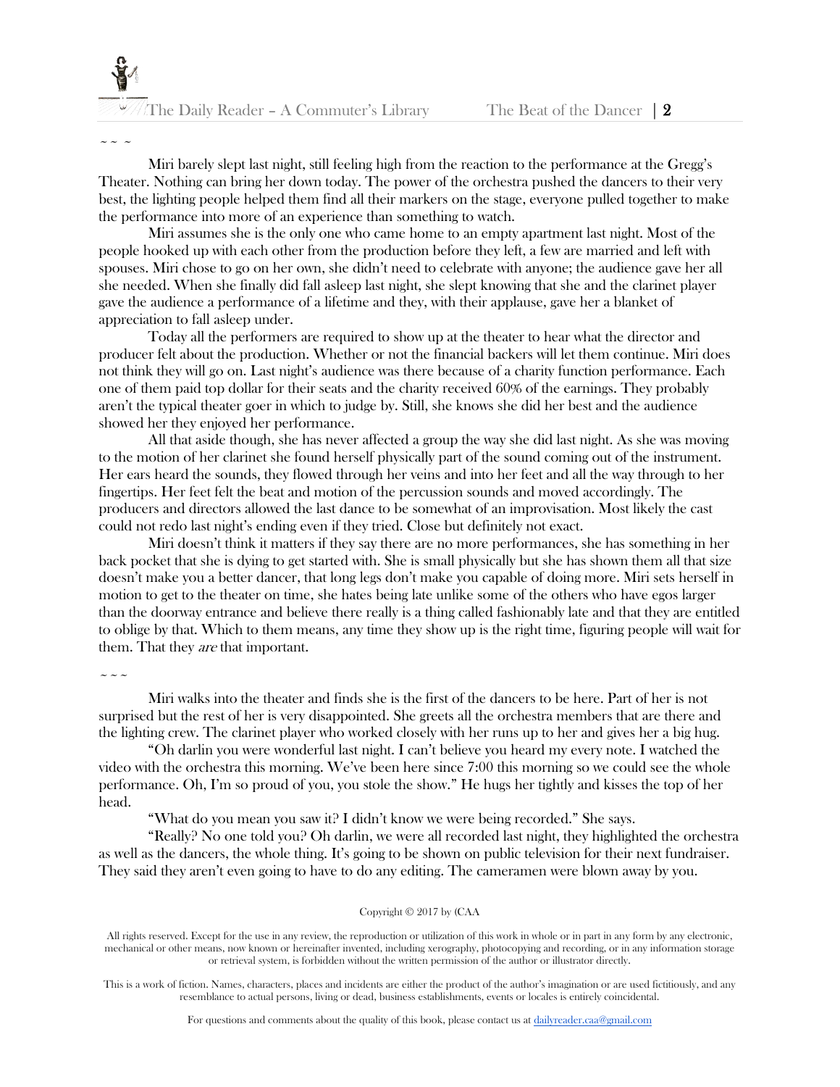$\sim$   $\sim$   $\sim$ 

Miri barely slept last night, still feeling high from the reaction to the performance at the Gregg's Theater. Nothing can bring her down today. The power of the orchestra pushed the dancers to their very best, the lighting people helped them find all their markers on the stage, everyone pulled together to make the performance into more of an experience than something to watch.

Miri assumes she is the only one who came home to an empty apartment last night. Most of the people hooked up with each other from the production before they left, a few are married and left with spouses. Miri chose to go on her own, she didn't need to celebrate with anyone; the audience gave her all she needed. When she finally did fall asleep last night, she slept knowing that she and the clarinet player gave the audience a performance of a lifetime and they, with their applause, gave her a blanket of appreciation to fall asleep under.

Today all the performers are required to show up at the theater to hear what the director and producer felt about the production. Whether or not the financial backers will let them continue. Miri does not think they will go on. Last night's audience was there because of a charity function performance. Each one of them paid top dollar for their seats and the charity received 60% of the earnings. They probably aren't the typical theater goer in which to judge by. Still, she knows she did her best and the audience showed her they enjoyed her performance.

All that aside though, she has never affected a group the way she did last night. As she was moving to the motion of her clarinet she found herself physically part of the sound coming out of the instrument. Her ears heard the sounds, they flowed through her veins and into her feet and all the way through to her fingertips. Her feet felt the beat and motion of the percussion sounds and moved accordingly. The producers and directors allowed the last dance to be somewhat of an improvisation. Most likely the cast could not redo last night's ending even if they tried. Close but definitely not exact.

Miri doesn't think it matters if they say there are no more performances, she has something in her back pocket that she is dying to get started with. She is small physically but she has shown them all that size doesn't make you a better dancer, that long legs don't make you capable of doing more. Miri sets herself in motion to get to the theater on time, she hates being late unlike some of the others who have egos larger than the doorway entrance and believe there really is a thing called fashionably late and that they are entitled to oblige by that. Which to them means, any time they show up is the right time, figuring people will wait for them. That they *are* that important.

 $\sim$   $\sim$   $\sim$ 

Miri walks into the theater and finds she is the first of the dancers to be here. Part of her is not surprised but the rest of her is very disappointed. She greets all the orchestra members that are there and the lighting crew. The clarinet player who worked closely with her runs up to her and gives her a big hug.

"Oh darlin you were wonderful last night. I can't believe you heard my every note. I watched the video with the orchestra this morning. We've been here since 7:00 this morning so we could see the whole performance. Oh, I'm so proud of you, you stole the show." He hugs her tightly and kisses the top of her head.

"What do you mean you saw it? I didn't know we were being recorded." She says.

"Really? No one told you? Oh darlin, we were all recorded last night, they highlighted the orchestra as well as the dancers, the whole thing. It's going to be shown on public television for their next fundraiser. They said they aren't even going to have to do any editing. The cameramen were blown away by you.

#### Copyright © 2017 by (CAA

All rights reserved. Except for the use in any review, the reproduction or utilization of this work in whole or in part in any form by any electronic, mechanical or other means, now known or hereinafter invented, including xerography, photocopying and recording, or in any information storage or retrieval system, is forbidden without the written permission of the author or illustrator directly.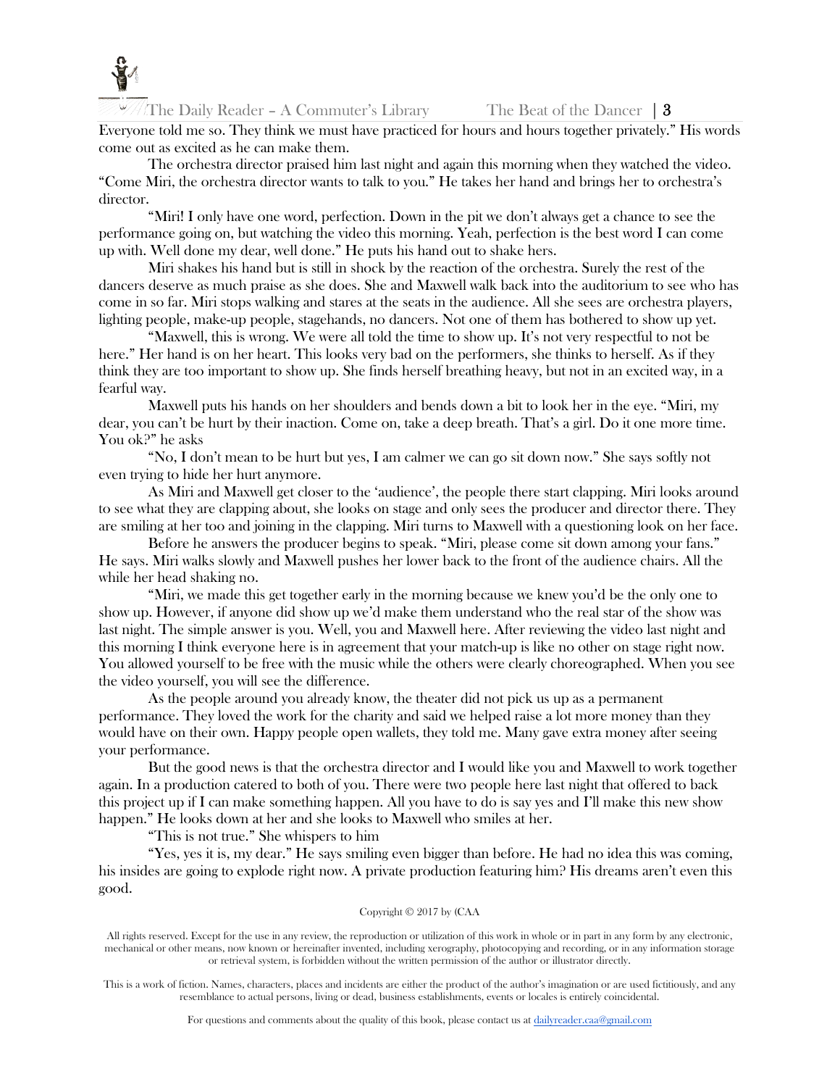

The Daily Reader – A Commuter's Library The Beat of the Dancer  $\vert 3 \rangle$ 

Everyone told me so. They think we must have practiced for hours and hours together privately." His words come out as excited as he can make them.

The orchestra director praised him last night and again this morning when they watched the video. "Come Miri, the orchestra director wants to talk to you." He takes her hand and brings her to orchestra's director.

"Miri! I only have one word, perfection. Down in the pit we don't always get a chance to see the performance going on, but watching the video this morning. Yeah, perfection is the best word I can come up with. Well done my dear, well done." He puts his hand out to shake hers.

Miri shakes his hand but is still in shock by the reaction of the orchestra. Surely the rest of the dancers deserve as much praise as she does. She and Maxwell walk back into the auditorium to see who has come in so far. Miri stops walking and stares at the seats in the audience. All she sees are orchestra players, lighting people, make-up people, stagehands, no dancers. Not one of them has bothered to show up yet.

"Maxwell, this is wrong. We were all told the time to show up. It's not very respectful to not be here." Her hand is on her heart. This looks very bad on the performers, she thinks to herself. As if they think they are too important to show up. She finds herself breathing heavy, but not in an excited way, in a fearful way.

Maxwell puts his hands on her shoulders and bends down a bit to look her in the eye. "Miri, my dear, you can't be hurt by their inaction. Come on, take a deep breath. That's a girl. Do it one more time. You ok?" he asks

"No, I don't mean to be hurt but yes, I am calmer we can go sit down now." She says softly not even trying to hide her hurt anymore.

As Miri and Maxwell get closer to the 'audience', the people there start clapping. Miri looks around to see what they are clapping about, she looks on stage and only sees the producer and director there. They are smiling at her too and joining in the clapping. Miri turns to Maxwell with a questioning look on her face.

Before he answers the producer begins to speak. "Miri, please come sit down among your fans." He says. Miri walks slowly and Maxwell pushes her lower back to the front of the audience chairs. All the while her head shaking no.

"Miri, we made this get together early in the morning because we knew you'd be the only one to show up. However, if anyone did show up we'd make them understand who the real star of the show was last night. The simple answer is you. Well, you and Maxwell here. After reviewing the video last night and this morning I think everyone here is in agreement that your match-up is like no other on stage right now. You allowed yourself to be free with the music while the others were clearly choreographed. When you see the video yourself, you will see the difference.

As the people around you already know, the theater did not pick us up as a permanent performance. They loved the work for the charity and said we helped raise a lot more money than they would have on their own. Happy people open wallets, they told me. Many gave extra money after seeing your performance.

But the good news is that the orchestra director and I would like you and Maxwell to work together again. In a production catered to both of you. There were two people here last night that offered to back this project up if I can make something happen. All you have to do is say yes and I'll make this new show happen." He looks down at her and she looks to Maxwell who smiles at her.

"This is not true." She whispers to him

"Yes, yes it is, my dear." He says smiling even bigger than before. He had no idea this was coming, his insides are going to explode right now. A private production featuring him? His dreams aren't even this good.

#### Copyright © 2017 by (CAA

All rights reserved. Except for the use in any review, the reproduction or utilization of this work in whole or in part in any form by any electronic, mechanical or other means, now known or hereinafter invented, including xerography, photocopying and recording, or in any information storage or retrieval system, is forbidden without the written permission of the author or illustrator directly.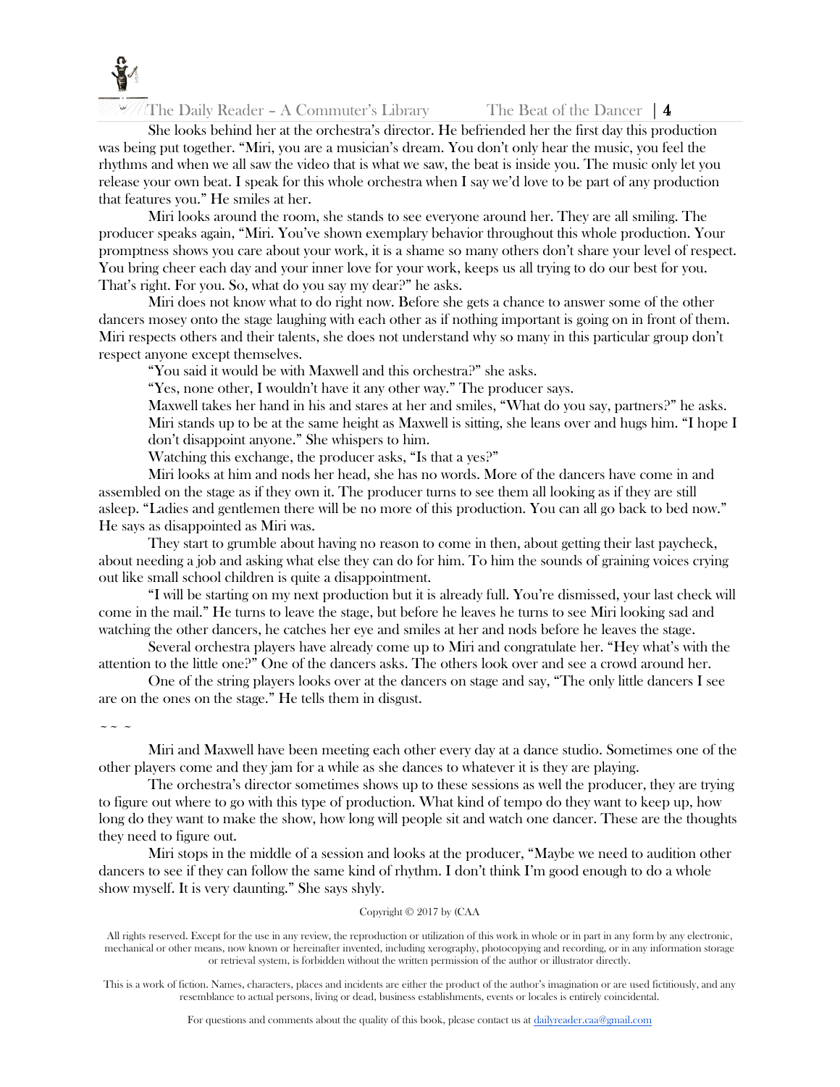

The Daily Reader – A Commuter's Library The Beat of the Dancer  $|4 \rangle$ 

She looks behind her at the orchestra's director. He befriended her the first day this production was being put together. "Miri, you are a musician's dream. You don't only hear the music, you feel the rhythms and when we all saw the video that is what we saw, the beat is inside you. The music only let you release your own beat. I speak for this whole orchestra when I say we'd love to be part of any production that features you." He smiles at her.

Miri looks around the room, she stands to see everyone around her. They are all smiling. The producer speaks again, "Miri. You've shown exemplary behavior throughout this whole production. Your promptness shows you care about your work, it is a shame so many others don't share your level of respect. You bring cheer each day and your inner love for your work, keeps us all trying to do our best for you. That's right. For you. So, what do you say my dear?" he asks.

Miri does not know what to do right now. Before she gets a chance to answer some of the other dancers mosey onto the stage laughing with each other as if nothing important is going on in front of them. Miri respects others and their talents, she does not understand why so many in this particular group don't respect anyone except themselves.

"You said it would be with Maxwell and this orchestra?" she asks.

"Yes, none other, I wouldn't have it any other way." The producer says.

Maxwell takes her hand in his and stares at her and smiles, "What do you say, partners?" he asks. Miri stands up to be at the same height as Maxwell is sitting, she leans over and hugs him. "I hope I don't disappoint anyone." She whispers to him.

Watching this exchange, the producer asks, "Is that a yes?"

Miri looks at him and nods her head, she has no words. More of the dancers have come in and assembled on the stage as if they own it. The producer turns to see them all looking as if they are still asleep. "Ladies and gentlemen there will be no more of this production. You can all go back to bed now." He says as disappointed as Miri was.

They start to grumble about having no reason to come in then, about getting their last paycheck, about needing a job and asking what else they can do for him. To him the sounds of graining voices crying out like small school children is quite a disappointment.

"I will be starting on my next production but it is already full. You're dismissed, your last check will come in the mail." He turns to leave the stage, but before he leaves he turns to see Miri looking sad and watching the other dancers, he catches her eye and smiles at her and nods before he leaves the stage.

Several orchestra players have already come up to Miri and congratulate her. "Hey what's with the attention to the little one?" One of the dancers asks. The others look over and see a crowd around her.

One of the string players looks over at the dancers on stage and say, "The only little dancers I see are on the ones on the stage." He tells them in disgust.

 $\sim$   $\sim$   $\sim$ 

Miri and Maxwell have been meeting each other every day at a dance studio. Sometimes one of the other players come and they jam for a while as she dances to whatever it is they are playing.

The orchestra's director sometimes shows up to these sessions as well the producer, they are trying to figure out where to go with this type of production. What kind of tempo do they want to keep up, how long do they want to make the show, how long will people sit and watch one dancer. These are the thoughts they need to figure out.

Miri stops in the middle of a session and looks at the producer, "Maybe we need to audition other dancers to see if they can follow the same kind of rhythm. I don't think I'm good enough to do a whole show myself. It is very daunting." She says shyly.

### Copyright © 2017 by (CAA

All rights reserved. Except for the use in any review, the reproduction or utilization of this work in whole or in part in any form by any electronic, mechanical or other means, now known or hereinafter invented, including xerography, photocopying and recording, or in any information storage or retrieval system, is forbidden without the written permission of the author or illustrator directly.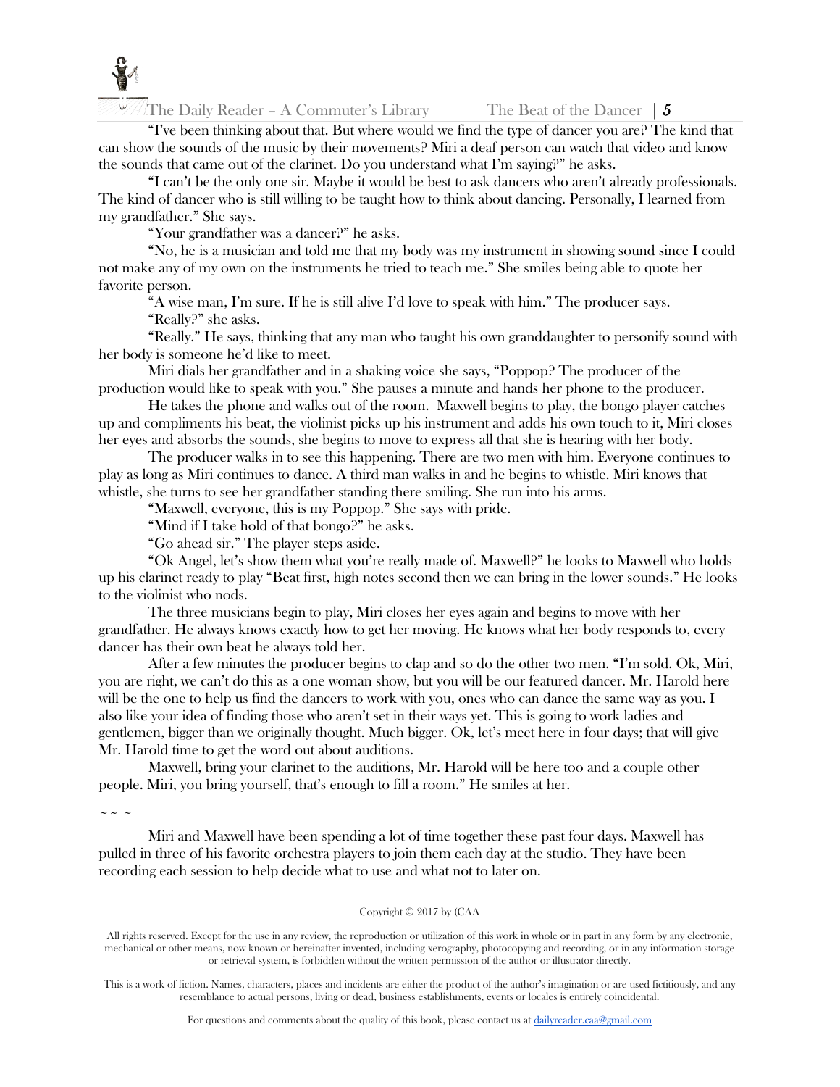

The Daily Reader – A Commuter's Library The Beat of the Dancer  $\vert 5 \rangle$ 

"I've been thinking about that. But where would we find the type of dancer you are? The kind that can show the sounds of the music by their movements? Miri a deaf person can watch that video and know the sounds that came out of the clarinet. Do you understand what I'm saying?" he asks.

"I can't be the only one sir. Maybe it would be best to ask dancers who aren't already professionals. The kind of dancer who is still willing to be taught how to think about dancing. Personally, I learned from my grandfather." She says.

"Your grandfather was a dancer?" he asks.

"No, he is a musician and told me that my body was my instrument in showing sound since I could not make any of my own on the instruments he tried to teach me." She smiles being able to quote her favorite person.

"A wise man, I'm sure. If he is still alive I'd love to speak with him." The producer says.

"Really?" she asks.

"Really." He says, thinking that any man who taught his own granddaughter to personify sound with her body is someone he'd like to meet.

Miri dials her grandfather and in a shaking voice she says, "Poppop? The producer of the production would like to speak with you." She pauses a minute and hands her phone to the producer.

He takes the phone and walks out of the room. Maxwell begins to play, the bongo player catches up and compliments his beat, the violinist picks up his instrument and adds his own touch to it, Miri closes her eyes and absorbs the sounds, she begins to move to express all that she is hearing with her body.

The producer walks in to see this happening. There are two men with him. Everyone continues to play as long as Miri continues to dance. A third man walks in and he begins to whistle. Miri knows that whistle, she turns to see her grandfather standing there smiling. She run into his arms.

"Maxwell, everyone, this is my Poppop." She says with pride.

"Mind if I take hold of that bongo?" he asks.

"Go ahead sir." The player steps aside.

"Ok Angel, let's show them what you're really made of. Maxwell?" he looks to Maxwell who holds up his clarinet ready to play "Beat first, high notes second then we can bring in the lower sounds." He looks to the violinist who nods.

The three musicians begin to play, Miri closes her eyes again and begins to move with her grandfather. He always knows exactly how to get her moving. He knows what her body responds to, every dancer has their own beat he always told her.

After a few minutes the producer begins to clap and so do the other two men. "I'm sold. Ok, Miri, you are right, we can't do this as a one woman show, but you will be our featured dancer. Mr. Harold here will be the one to help us find the dancers to work with you, ones who can dance the same way as you. I also like your idea of finding those who aren't set in their ways yet. This is going to work ladies and gentlemen, bigger than we originally thought. Much bigger. Ok, let's meet here in four days; that will give Mr. Harold time to get the word out about auditions.

Maxwell, bring your clarinet to the auditions, Mr. Harold will be here too and a couple other people. Miri, you bring yourself, that's enough to fill a room." He smiles at her.

 $\sim$   $\sim$   $\sim$ 

Miri and Maxwell have been spending a lot of time together these past four days. Maxwell has pulled in three of his favorite orchestra players to join them each day at the studio. They have been recording each session to help decide what to use and what not to later on.

#### Copyright © 2017 by (CAA

All rights reserved. Except for the use in any review, the reproduction or utilization of this work in whole or in part in any form by any electronic, mechanical or other means, now known or hereinafter invented, including xerography, photocopying and recording, or in any information storage or retrieval system, is forbidden without the written permission of the author or illustrator directly.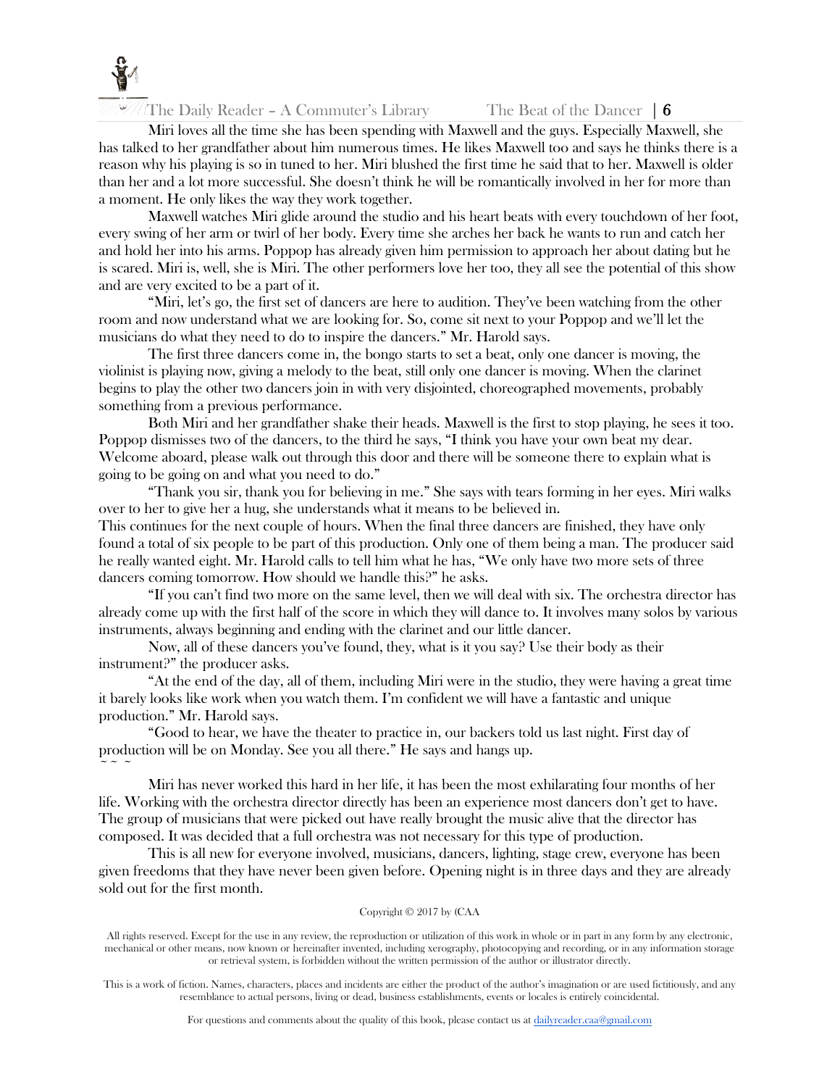

The Daily Reader – A Commuter's Library The Beat of the Dancer  $\vert 6 \vert$ 

Miri loves all the time she has been spending with Maxwell and the guys. Especially Maxwell, she has talked to her grandfather about him numerous times. He likes Maxwell too and says he thinks there is a reason why his playing is so in tuned to her. Miri blushed the first time he said that to her. Maxwell is older than her and a lot more successful. She doesn't think he will be romantically involved in her for more than a moment. He only likes the way they work together.

Maxwell watches Miri glide around the studio and his heart beats with every touchdown of her foot, every swing of her arm or twirl of her body. Every time she arches her back he wants to run and catch her and hold her into his arms. Poppop has already given him permission to approach her about dating but he is scared. Miri is, well, she is Miri. The other performers love her too, they all see the potential of this show and are very excited to be a part of it.

"Miri, let's go, the first set of dancers are here to audition. They've been watching from the other room and now understand what we are looking for. So, come sit next to your Poppop and we'll let the musicians do what they need to do to inspire the dancers." Mr. Harold says.

The first three dancers come in, the bongo starts to set a beat, only one dancer is moving, the violinist is playing now, giving a melody to the beat, still only one dancer is moving. When the clarinet begins to play the other two dancers join in with very disjointed, choreographed movements, probably something from a previous performance.

Both Miri and her grandfather shake their heads. Maxwell is the first to stop playing, he sees it too. Poppop dismisses two of the dancers, to the third he says, "I think you have your own beat my dear. Welcome aboard, please walk out through this door and there will be someone there to explain what is going to be going on and what you need to do."

"Thank you sir, thank you for believing in me." She says with tears forming in her eyes. Miri walks over to her to give her a hug, she understands what it means to be believed in.

This continues for the next couple of hours. When the final three dancers are finished, they have only found a total of six people to be part of this production. Only one of them being a man. The producer said he really wanted eight. Mr. Harold calls to tell him what he has, "We only have two more sets of three dancers coming tomorrow. How should we handle this?" he asks.

"If you can't find two more on the same level, then we will deal with six. The orchestra director has already come up with the first half of the score in which they will dance to. It involves many solos by various instruments, always beginning and ending with the clarinet and our little dancer.

Now, all of these dancers you've found, they, what is it you say? Use their body as their instrument?" the producer asks.

"At the end of the day, all of them, including Miri were in the studio, they were having a great time it barely looks like work when you watch them. I'm confident we will have a fantastic and unique production." Mr. Harold says.

"Good to hear, we have the theater to practice in, our backers told us last night. First day of production will be on Monday. See you all there." He says and hangs up.  $\sim$   $\sim$   $\sim$ 

Miri has never worked this hard in her life, it has been the most exhilarating four months of her life. Working with the orchestra director directly has been an experience most dancers don't get to have. The group of musicians that were picked out have really brought the music alive that the director has composed. It was decided that a full orchestra was not necessary for this type of production.

This is all new for everyone involved, musicians, dancers, lighting, stage crew, everyone has been given freedoms that they have never been given before. Opening night is in three days and they are already sold out for the first month.

### Copyright © 2017 by (CAA

All rights reserved. Except for the use in any review, the reproduction or utilization of this work in whole or in part in any form by any electronic, mechanical or other means, now known or hereinafter invented, including xerography, photocopying and recording, or in any information storage or retrieval system, is forbidden without the written permission of the author or illustrator directly.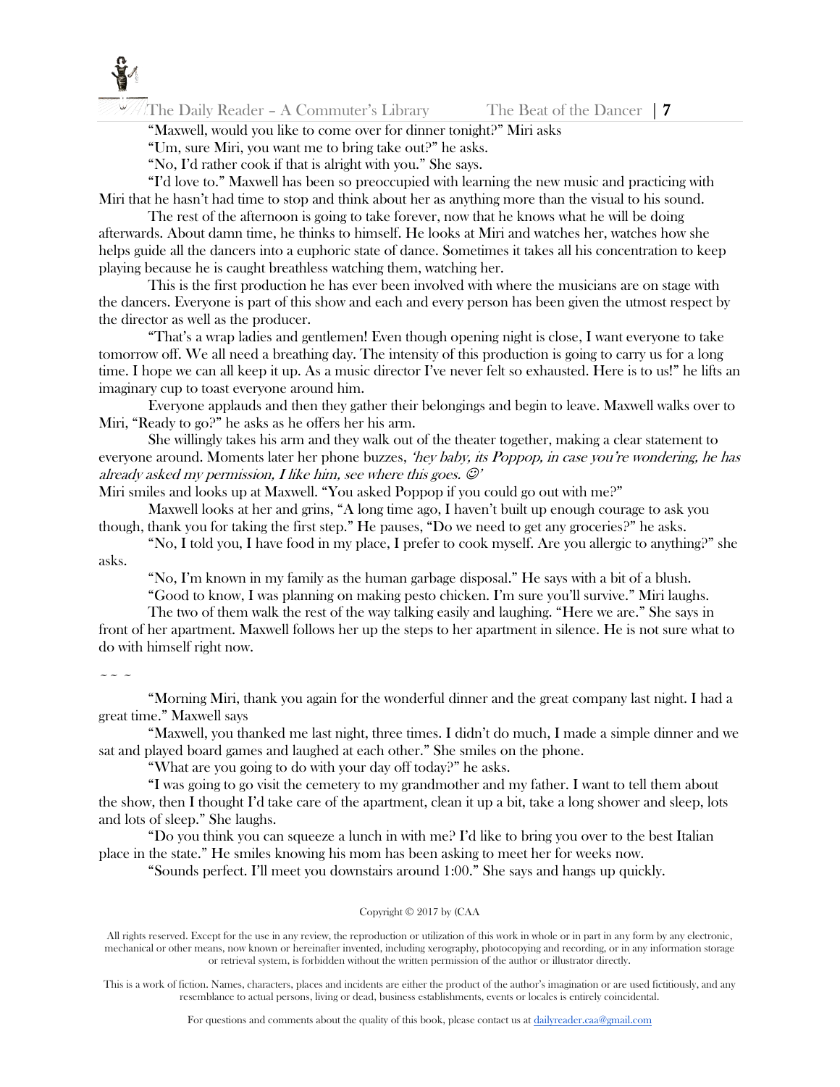

The Daily Reader – A Commuter's Library The Beat of the Dancer  $\vert 7 \vert$ 

"Maxwell, would you like to come over for dinner tonight?" Miri asks

"Um, sure Miri, you want me to bring take out?" he asks.

"No, I'd rather cook if that is alright with you." She says.

"I'd love to." Maxwell has been so preoccupied with learning the new music and practicing with Miri that he hasn't had time to stop and think about her as anything more than the visual to his sound.

The rest of the afternoon is going to take forever, now that he knows what he will be doing afterwards. About damn time, he thinks to himself. He looks at Miri and watches her, watches how she helps guide all the dancers into a euphoric state of dance. Sometimes it takes all his concentration to keep playing because he is caught breathless watching them, watching her.

This is the first production he has ever been involved with where the musicians are on stage with the dancers. Everyone is part of this show and each and every person has been given the utmost respect by the director as well as the producer.

"That's a wrap ladies and gentlemen! Even though opening night is close, I want everyone to take tomorrow off. We all need a breathing day. The intensity of this production is going to carry us for a long time. I hope we can all keep it up. As a music director I've never felt so exhausted. Here is to us!" he lifts an imaginary cup to toast everyone around him.

Everyone applauds and then they gather their belongings and begin to leave. Maxwell walks over to Miri, "Ready to go?" he asks as he offers her his arm.

She willingly takes his arm and they walk out of the theater together, making a clear statement to everyone around. Moments later her phone buzzes, *'hey baby, its Poppop, in case you're wondering, he has* already asked my permission, I like him, see where this goes.  $\mathcal{O}'$ 

Miri smiles and looks up at Maxwell. "You asked Poppop if you could go out with me?"

Maxwell looks at her and grins, "A long time ago, I haven't built up enough courage to ask you though, thank you for taking the first step." He pauses, "Do we need to get any groceries?" he asks.

"No, I told you, I have food in my place, I prefer to cook myself. Are you allergic to anything?" she asks.

"No, I'm known in my family as the human garbage disposal." He says with a bit of a blush.

"Good to know, I was planning on making pesto chicken. I'm sure you'll survive." Miri laughs.

The two of them walk the rest of the way talking easily and laughing. "Here we are." She says in front of her apartment. Maxwell follows her up the steps to her apartment in silence. He is not sure what to do with himself right now.

### $\sim$   $\sim$   $\sim$

"Morning Miri, thank you again for the wonderful dinner and the great company last night. I had a great time." Maxwell says

"Maxwell, you thanked me last night, three times. I didn't do much, I made a simple dinner and we sat and played board games and laughed at each other." She smiles on the phone.

"What are you going to do with your day off today?" he asks.

"I was going to go visit the cemetery to my grandmother and my father. I want to tell them about the show, then I thought I'd take care of the apartment, clean it up a bit, take a long shower and sleep, lots and lots of sleep." She laughs.

"Do you think you can squeeze a lunch in with me? I'd like to bring you over to the best Italian place in the state." He smiles knowing his mom has been asking to meet her for weeks now.

"Sounds perfect. I'll meet you downstairs around 1:00." She says and hangs up quickly.

#### Copyright © 2017 by (CAA

All rights reserved. Except for the use in any review, the reproduction or utilization of this work in whole or in part in any form by any electronic, mechanical or other means, now known or hereinafter invented, including xerography, photocopying and recording, or in any information storage or retrieval system, is forbidden without the written permission of the author or illustrator directly.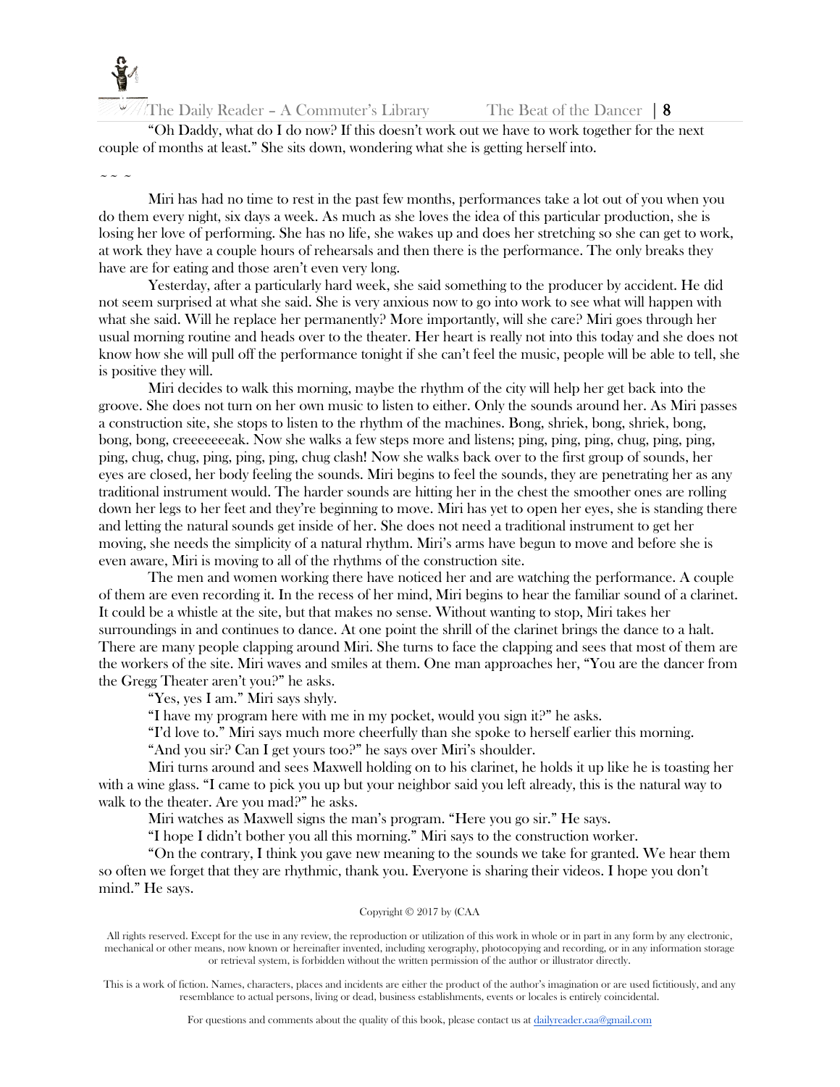

The Daily Reader – A Commuter's Library The Beat of the Dancer  $\vert 8 \rangle$ 

"Oh Daddy, what do I do now? If this doesn't work out we have to work together for the next couple of months at least." She sits down, wondering what she is getting herself into.

### $\sim$   $\sim$   $\sim$

Miri has had no time to rest in the past few months, performances take a lot out of you when you do them every night, six days a week. As much as she loves the idea of this particular production, she is losing her love of performing. She has no life, she wakes up and does her stretching so she can get to work, at work they have a couple hours of rehearsals and then there is the performance. The only breaks they have are for eating and those aren't even very long.

Yesterday, after a particularly hard week, she said something to the producer by accident. He did not seem surprised at what she said. She is very anxious now to go into work to see what will happen with what she said. Will he replace her permanently? More importantly, will she care? Miri goes through her usual morning routine and heads over to the theater. Her heart is really not into this today and she does not know how she will pull off the performance tonight if she can't feel the music, people will be able to tell, she is positive they will.

Miri decides to walk this morning, maybe the rhythm of the city will help her get back into the groove. She does not turn on her own music to listen to either. Only the sounds around her. As Miri passes a construction site, she stops to listen to the rhythm of the machines. Bong, shriek, bong, shriek, bong, bong, bong, creeeeeeeak. Now she walks a few steps more and listens; ping, ping, ping, chug, ping, ping, ping, chug, chug, ping, ping, ping, chug clash! Now she walks back over to the first group of sounds, her eyes are closed, her body feeling the sounds. Miri begins to feel the sounds, they are penetrating her as any traditional instrument would. The harder sounds are hitting her in the chest the smoother ones are rolling down her legs to her feet and they're beginning to move. Miri has yet to open her eyes, she is standing there and letting the natural sounds get inside of her. She does not need a traditional instrument to get her moving, she needs the simplicity of a natural rhythm. Miri's arms have begun to move and before she is even aware, Miri is moving to all of the rhythms of the construction site.

The men and women working there have noticed her and are watching the performance. A couple of them are even recording it. In the recess of her mind, Miri begins to hear the familiar sound of a clarinet. It could be a whistle at the site, but that makes no sense. Without wanting to stop, Miri takes her surroundings in and continues to dance. At one point the shrill of the clarinet brings the dance to a halt. There are many people clapping around Miri. She turns to face the clapping and sees that most of them are the workers of the site. Miri waves and smiles at them. One man approaches her, "You are the dancer from the Gregg Theater aren't you?" he asks.

"Yes, yes I am." Miri says shyly.

"I have my program here with me in my pocket, would you sign it?" he asks.

"I'd love to." Miri says much more cheerfully than she spoke to herself earlier this morning.

"And you sir? Can I get yours too?" he says over Miri's shoulder.

Miri turns around and sees Maxwell holding on to his clarinet, he holds it up like he is toasting her with a wine glass. "I came to pick you up but your neighbor said you left already, this is the natural way to walk to the theater. Are you mad?" he asks.

Miri watches as Maxwell signs the man's program. "Here you go sir." He says.

"I hope I didn't bother you all this morning." Miri says to the construction worker.

"On the contrary, I think you gave new meaning to the sounds we take for granted. We hear them so often we forget that they are rhythmic, thank you. Everyone is sharing their videos. I hope you don't mind." He says.

#### Copyright © 2017 by (CAA

All rights reserved. Except for the use in any review, the reproduction or utilization of this work in whole or in part in any form by any electronic, mechanical or other means, now known or hereinafter invented, including xerography, photocopying and recording, or in any information storage or retrieval system, is forbidden without the written permission of the author or illustrator directly.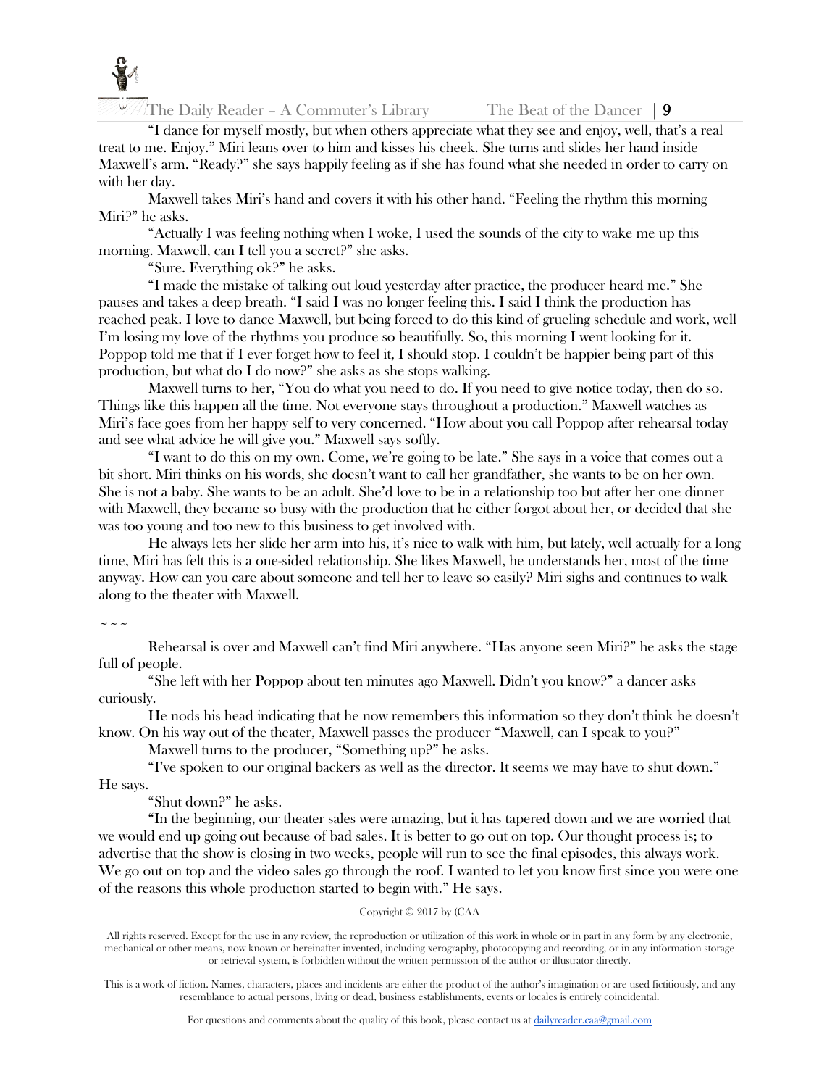

The Daily Reader – A Commuter's Library The Beat of the Dancer  $\vert 9 \rangle$ 

"I dance for myself mostly, but when others appreciate what they see and enjoy, well, that's a real treat to me. Enjoy." Miri leans over to him and kisses his cheek. She turns and slides her hand inside Maxwell's arm. "Ready?" she says happily feeling as if she has found what she needed in order to carry on with her day.

Maxwell takes Miri's hand and covers it with his other hand. "Feeling the rhythm this morning Miri?" he asks.

"Actually I was feeling nothing when I woke, I used the sounds of the city to wake me up this morning. Maxwell, can I tell you a secret?" she asks.

"Sure. Everything ok?" he asks.

"I made the mistake of talking out loud yesterday after practice, the producer heard me." She pauses and takes a deep breath. "I said I was no longer feeling this. I said I think the production has reached peak. I love to dance Maxwell, but being forced to do this kind of grueling schedule and work, well I'm losing my love of the rhythms you produce so beautifully. So, this morning I went looking for it. Poppop told me that if I ever forget how to feel it, I should stop. I couldn't be happier being part of this production, but what do I do now?" she asks as she stops walking.

Maxwell turns to her, "You do what you need to do. If you need to give notice today, then do so. Things like this happen all the time. Not everyone stays throughout a production." Maxwell watches as Miri's face goes from her happy self to very concerned. "How about you call Poppop after rehearsal today and see what advice he will give you." Maxwell says softly.

"I want to do this on my own. Come, we're going to be late." She says in a voice that comes out a bit short. Miri thinks on his words, she doesn't want to call her grandfather, she wants to be on her own. She is not a baby. She wants to be an adult. She'd love to be in a relationship too but after her one dinner with Maxwell, they became so busy with the production that he either forgot about her, or decided that she was too young and too new to this business to get involved with.

He always lets her slide her arm into his, it's nice to walk with him, but lately, well actually for a long time, Miri has felt this is a one-sided relationship. She likes Maxwell, he understands her, most of the time anyway. How can you care about someone and tell her to leave so easily? Miri sighs and continues to walk along to the theater with Maxwell.

 $\sim$   $\sim$   $\sim$ 

Rehearsal is over and Maxwell can't find Miri anywhere. "Has anyone seen Miri?" he asks the stage full of people.

"She left with her Poppop about ten minutes ago Maxwell. Didn't you know?" a dancer asks curiously.

He nods his head indicating that he now remembers this information so they don't think he doesn't know. On his way out of the theater, Maxwell passes the producer "Maxwell, can I speak to you?"

Maxwell turns to the producer, "Something up?" he asks.

"I've spoken to our original backers as well as the director. It seems we may have to shut down." He says.

"Shut down?" he asks.

"In the beginning, our theater sales were amazing, but it has tapered down and we are worried that we would end up going out because of bad sales. It is better to go out on top. Our thought process is; to advertise that the show is closing in two weeks, people will run to see the final episodes, this always work. We go out on top and the video sales go through the roof. I wanted to let you know first since you were one of the reasons this whole production started to begin with." He says.

### Copyright © 2017 by (CAA

All rights reserved. Except for the use in any review, the reproduction or utilization of this work in whole or in part in any form by any electronic, mechanical or other means, now known or hereinafter invented, including xerography, photocopying and recording, or in any information storage or retrieval system, is forbidden without the written permission of the author or illustrator directly.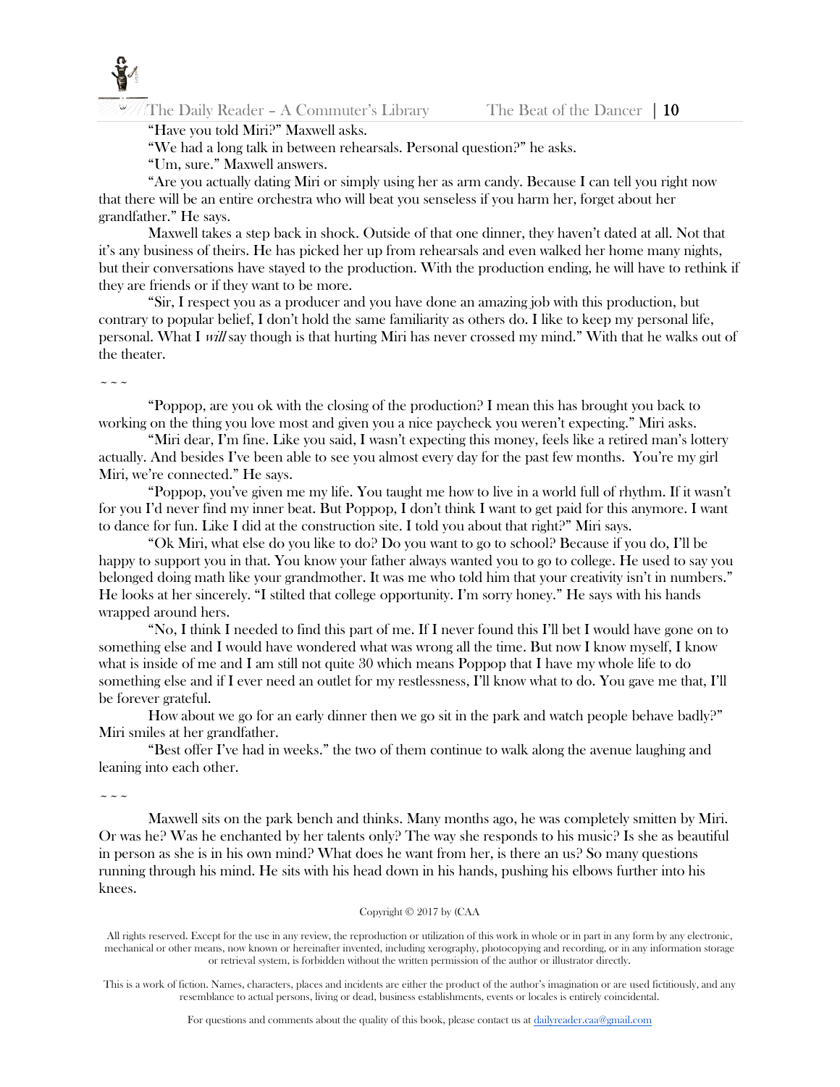

## "Have you told Miri?" Maxwell asks.

"We had a long talk in between rehearsals. Personal question?" he asks.

"Um, sure." Maxwell answers.

"Are you actually dating Miri or simply using her as arm candy. Because I can tell you right now that there will be an entire orchestra who will beat you senseless if you harm her, forget about her grandfather." He says.

Maxwell takes a step back in shock. Outside of that one dinner, they haven't dated at all. Not that it's any business of theirs. He has picked her up from rehearsals and even walked her home many nights, but their conversations have stayed to the production. With the production ending, he will have to rethink if they are friends or if they want to be more.

"Sir, I respect you as a producer and you have done an amazing job with this production, but contrary to popular belief, I don't hold the same familiarity as others do. I like to keep my personal life, personal. What I will say though is that hurting Miri has never crossed my mind." With that he walks out of the theater.

 $\sim\sim\sim$ 

"Poppop, are you ok with the closing of the production? I mean this has brought you back to working on the thing you love most and given you a nice paycheck you weren't expecting." Miri asks.

"Miri dear, I'm fine. Like you said, I wasn't expecting this money, feels like a retired man's lottery actually. And besides I've been able to see you almost every day for the past few months. You're my girl Miri, we're connected." He says.

"Poppop, you've given me my life. You taught me how to live in a world full of rhythm. If it wasn't for you I'd never find my inner beat. But Poppop, I don't think I want to get paid for this anymore. I want to dance for fun. Like I did at the construction site. I told you about that right?" Miri says.

"Ok Miri, what else do you like to do? Do you want to go to school? Because if you do, I'll be happy to support you in that. You know your father always wanted you to go to college. He used to say you belonged doing math like your grandmother. It was me who told him that your creativity isn't in numbers." He looks at her sincerely. "I stilted that college opportunity. I'm sorry honey." He says with his hands wrapped around hers.

"No, I think I needed to find this part of me. If I never found this I'll bet I would have gone on to something else and I would have wondered what was wrong all the time. But now I know myself, I know what is inside of me and I am still not quite 30 which means Poppop that I have my whole life to do something else and if I ever need an outlet for my restlessness, I'll know what to do. You gave me that, I'll be forever grateful.

How about we go for an early dinner then we go sit in the park and watch people behave badly?" Miri smiles at her grandfather.

"Best offer I've had in weeks." the two of them continue to walk along the avenue laughing and leaning into each other.

 $\sim$   $\sim$   $\sim$ 

Maxwell sits on the park bench and thinks. Many months ago, he was completely smitten by Miri. Or was he? Was he enchanted by her talents only? The way she responds to his music? Is she as beautiful in person as she is in his own mind? What does he want from her, is there an us? So many questions running through his mind. He sits with his head down in his hands, pushing his elbows further into his knees.

#### Copyright © 2017 by (CAA

All rights reserved. Except for the use in any review, the reproduction or utilization of this work in whole or in part in any form by any electronic, mechanical or other means, now known or hereinafter invented, including xerography, photocopying and recording, or in any information storage or retrieval system, is forbidden without the written permission of the author or illustrator directly.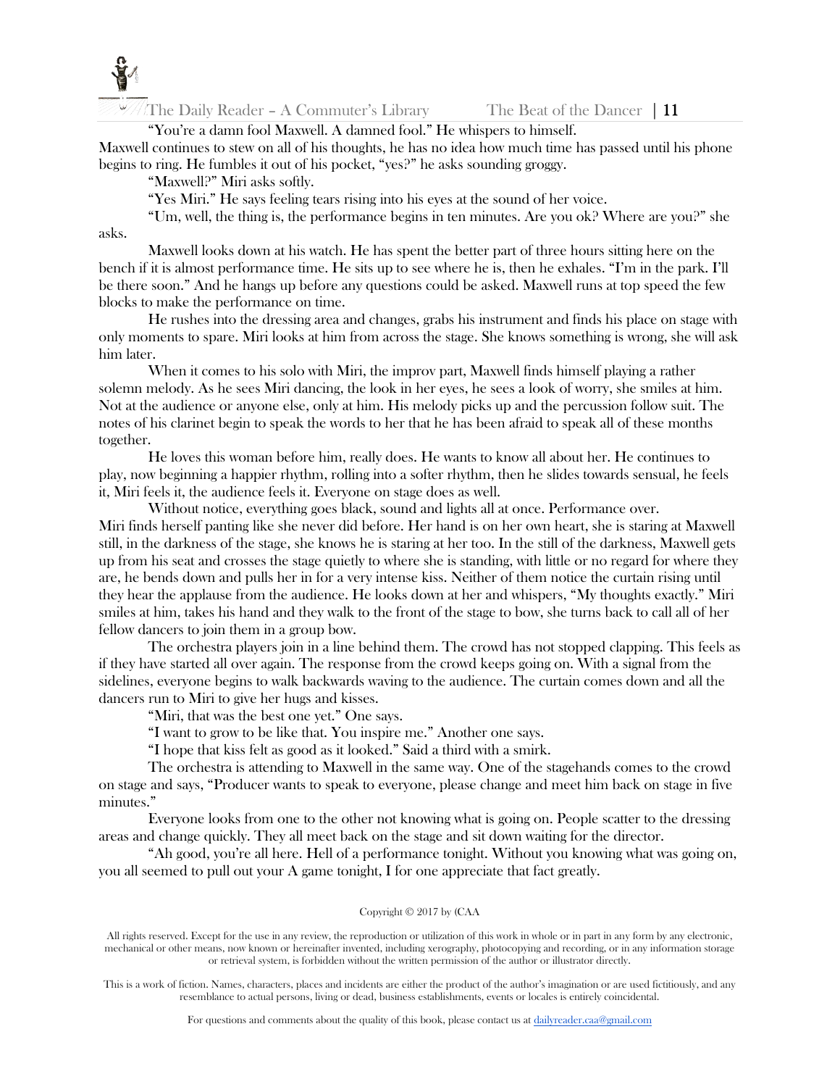The Daily Reader – A Commuter's Library The Beat of the Dancer  $\vert 11 \vert$ 

"You're a damn fool Maxwell. A damned fool." He whispers to himself.

Maxwell continues to stew on all of his thoughts, he has no idea how much time has passed until his phone begins to ring. He fumbles it out of his pocket, "yes?" he asks sounding groggy.

"Maxwell?" Miri asks softly.

"Yes Miri." He says feeling tears rising into his eyes at the sound of her voice.

"Um, well, the thing is, the performance begins in ten minutes. Are you ok? Where are you?" she asks.

Maxwell looks down at his watch. He has spent the better part of three hours sitting here on the bench if it is almost performance time. He sits up to see where he is, then he exhales. "I'm in the park. I'll be there soon." And he hangs up before any questions could be asked. Maxwell runs at top speed the few blocks to make the performance on time.

He rushes into the dressing area and changes, grabs his instrument and finds his place on stage with only moments to spare. Miri looks at him from across the stage. She knows something is wrong, she will ask him later.

When it comes to his solo with Miri, the improv part, Maxwell finds himself playing a rather solemn melody. As he sees Miri dancing, the look in her eyes, he sees a look of worry, she smiles at him. Not at the audience or anyone else, only at him. His melody picks up and the percussion follow suit. The notes of his clarinet begin to speak the words to her that he has been afraid to speak all of these months together.

He loves this woman before him, really does. He wants to know all about her. He continues to play, now beginning a happier rhythm, rolling into a softer rhythm, then he slides towards sensual, he feels it, Miri feels it, the audience feels it. Everyone on stage does as well.

Without notice, everything goes black, sound and lights all at once. Performance over. Miri finds herself panting like she never did before. Her hand is on her own heart, she is staring at Maxwell still, in the darkness of the stage, she knows he is staring at her too. In the still of the darkness, Maxwell gets up from his seat and crosses the stage quietly to where she is standing, with little or no regard for where they are, he bends down and pulls her in for a very intense kiss. Neither of them notice the curtain rising until they hear the applause from the audience. He looks down at her and whispers, "My thoughts exactly." Miri smiles at him, takes his hand and they walk to the front of the stage to bow, she turns back to call all of her fellow dancers to join them in a group bow.

The orchestra players join in a line behind them. The crowd has not stopped clapping. This feels as if they have started all over again. The response from the crowd keeps going on. With a signal from the sidelines, everyone begins to walk backwards waving to the audience. The curtain comes down and all the dancers run to Miri to give her hugs and kisses.

"Miri, that was the best one yet." One says.

"I want to grow to be like that. You inspire me." Another one says.

"I hope that kiss felt as good as it looked." Said a third with a smirk.

The orchestra is attending to Maxwell in the same way. One of the stagehands comes to the crowd on stage and says, "Producer wants to speak to everyone, please change and meet him back on stage in five minutes."

Everyone looks from one to the other not knowing what is going on. People scatter to the dressing areas and change quickly. They all meet back on the stage and sit down waiting for the director.

"Ah good, you're all here. Hell of a performance tonight. Without you knowing what was going on, you all seemed to pull out your A game tonight, I for one appreciate that fact greatly.

#### Copyright © 2017 by (CAA

All rights reserved. Except for the use in any review, the reproduction or utilization of this work in whole or in part in any form by any electronic, mechanical or other means, now known or hereinafter invented, including xerography, photocopying and recording, or in any information storage or retrieval system, is forbidden without the written permission of the author or illustrator directly.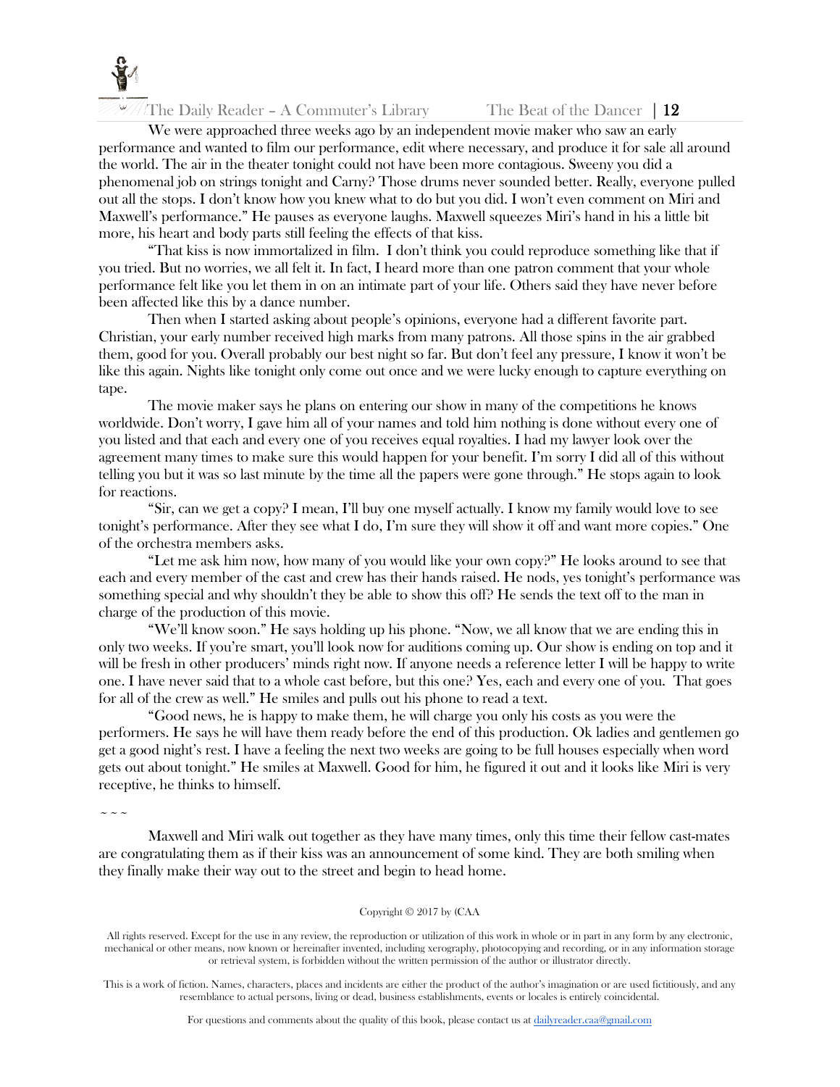

The Daily Reader – A Commuter's Library The Beat of the Dancer  $\|$  12

We were approached three weeks ago by an independent movie maker who saw an early performance and wanted to film our performance, edit where necessary, and produce it for sale all around the world. The air in the theater tonight could not have been more contagious. Sweeny you did a phenomenal job on strings tonight and Carny? Those drums never sounded better. Really, everyone pulled out all the stops. I don't know how you knew what to do but you did. I won't even comment on Miri and Maxwell's performance." He pauses as everyone laughs. Maxwell squeezes Miri's hand in his a little bit more, his heart and body parts still feeling the effects of that kiss.

"That kiss is now immortalized in film. I don't think you could reproduce something like that if you tried. But no worries, we all felt it. In fact, I heard more than one patron comment that your whole performance felt like you let them in on an intimate part of your life. Others said they have never before been affected like this by a dance number.

Then when I started asking about people's opinions, everyone had a different favorite part. Christian, your early number received high marks from many patrons. All those spins in the air grabbed them, good for you. Overall probably our best night so far. But don't feel any pressure, I know it won't be like this again. Nights like tonight only come out once and we were lucky enough to capture everything on tape.

The movie maker says he plans on entering our show in many of the competitions he knows worldwide. Don't worry, I gave him all of your names and told him nothing is done without every one of you listed and that each and every one of you receives equal royalties. I had my lawyer look over the agreement many times to make sure this would happen for your benefit. I'm sorry I did all of this without telling you but it was so last minute by the time all the papers were gone through." He stops again to look for reactions.

"Sir, can we get a copy? I mean, I'll buy one myself actually. I know my family would love to see tonight's performance. After they see what I do, I'm sure they will show it off and want more copies." One of the orchestra members asks.

"Let me ask him now, how many of you would like your own copy?" He looks around to see that each and every member of the cast and crew has their hands raised. He nods, yes tonight's performance was something special and why shouldn't they be able to show this off? He sends the text off to the man in charge of the production of this movie.

"We'll know soon." He says holding up his phone. "Now, we all know that we are ending this in only two weeks. If you're smart, you'll look now for auditions coming up. Our show is ending on top and it will be fresh in other producers' minds right now. If anyone needs a reference letter I will be happy to write one. I have never said that to a whole cast before, but this one? Yes, each and every one of you. That goes for all of the crew as well." He smiles and pulls out his phone to read a text.

"Good news, he is happy to make them, he will charge you only his costs as you were the performers. He says he will have them ready before the end of this production. Ok ladies and gentlemen go get a good night's rest. I have a feeling the next two weeks are going to be full houses especially when word gets out about tonight." He smiles at Maxwell. Good for him, he figured it out and it looks like Miri is very receptive, he thinks to himself.

 $\sim$   $\sim$   $\sim$ 

Maxwell and Miri walk out together as they have many times, only this time their fellow cast-mates are congratulating them as if their kiss was an announcement of some kind. They are both smiling when they finally make their way out to the street and begin to head home.

#### Copyright © 2017 by (CAA

All rights reserved. Except for the use in any review, the reproduction or utilization of this work in whole or in part in any form by any electronic, mechanical or other means, now known or hereinafter invented, including xerography, photocopying and recording, or in any information storage or retrieval system, is forbidden without the written permission of the author or illustrator directly.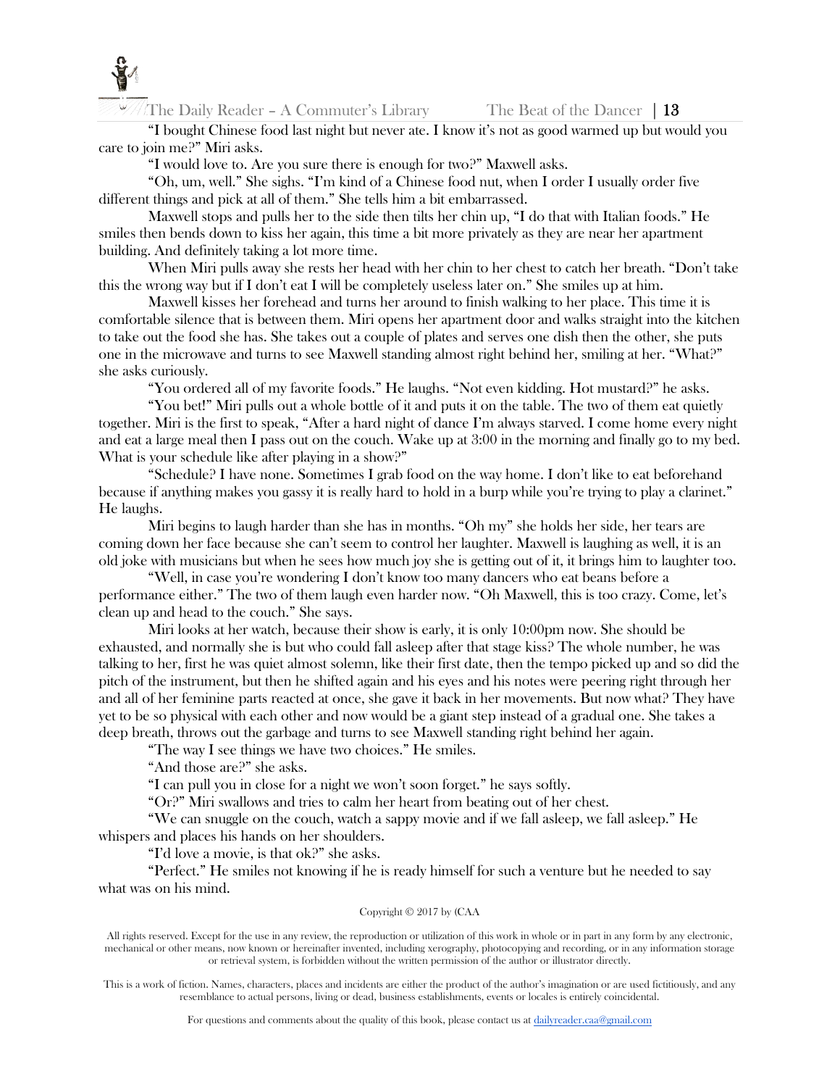

The Daily Reader – A Commuter's Library The Beat of the Dancer | 13

"I bought Chinese food last night but never ate. I know it's not as good warmed up but would you care to join me?" Miri asks.

"I would love to. Are you sure there is enough for two?" Maxwell asks.

"Oh, um, well." She sighs. "I'm kind of a Chinese food nut, when I order I usually order five different things and pick at all of them." She tells him a bit embarrassed.

Maxwell stops and pulls her to the side then tilts her chin up, "I do that with Italian foods." He smiles then bends down to kiss her again, this time a bit more privately as they are near her apartment building. And definitely taking a lot more time.

When Miri pulls away she rests her head with her chin to her chest to catch her breath. "Don't take this the wrong way but if I don't eat I will be completely useless later on." She smiles up at him.

Maxwell kisses her forehead and turns her around to finish walking to her place. This time it is comfortable silence that is between them. Miri opens her apartment door and walks straight into the kitchen to take out the food she has. She takes out a couple of plates and serves one dish then the other, she puts one in the microwave and turns to see Maxwell standing almost right behind her, smiling at her. "What?" she asks curiously.

"You ordered all of my favorite foods." He laughs. "Not even kidding. Hot mustard?" he asks.

"You bet!" Miri pulls out a whole bottle of it and puts it on the table. The two of them eat quietly together. Miri is the first to speak, "After a hard night of dance I'm always starved. I come home every night and eat a large meal then I pass out on the couch. Wake up at 3:00 in the morning and finally go to my bed. What is your schedule like after playing in a show?"

"Schedule? I have none. Sometimes I grab food on the way home. I don't like to eat beforehand because if anything makes you gassy it is really hard to hold in a burp while you're trying to play a clarinet." He laughs.

Miri begins to laugh harder than she has in months. "Oh my" she holds her side, her tears are coming down her face because she can't seem to control her laughter. Maxwell is laughing as well, it is an old joke with musicians but when he sees how much joy she is getting out of it, it brings him to laughter too.

"Well, in case you're wondering I don't know too many dancers who eat beans before a performance either." The two of them laugh even harder now. "Oh Maxwell, this is too crazy. Come, let's clean up and head to the couch." She says.

Miri looks at her watch, because their show is early, it is only 10:00pm now. She should be exhausted, and normally she is but who could fall asleep after that stage kiss? The whole number, he was talking to her, first he was quiet almost solemn, like their first date, then the tempo picked up and so did the pitch of the instrument, but then he shifted again and his eyes and his notes were peering right through her and all of her feminine parts reacted at once, she gave it back in her movements. But now what? They have yet to be so physical with each other and now would be a giant step instead of a gradual one. She takes a deep breath, throws out the garbage and turns to see Maxwell standing right behind her again.

"The way I see things we have two choices." He smiles.

"And those are?" she asks.

"I can pull you in close for a night we won't soon forget." he says softly.

"Or?" Miri swallows and tries to calm her heart from beating out of her chest.

"We can snuggle on the couch, watch a sappy movie and if we fall asleep, we fall asleep." He whispers and places his hands on her shoulders.

"I'd love a movie, is that ok?" she asks.

"Perfect." He smiles not knowing if he is ready himself for such a venture but he needed to say what was on his mind.

#### Copyright © 2017 by (CAA

All rights reserved. Except for the use in any review, the reproduction or utilization of this work in whole or in part in any form by any electronic, mechanical or other means, now known or hereinafter invented, including xerography, photocopying and recording, or in any information storage or retrieval system, is forbidden without the written permission of the author or illustrator directly.